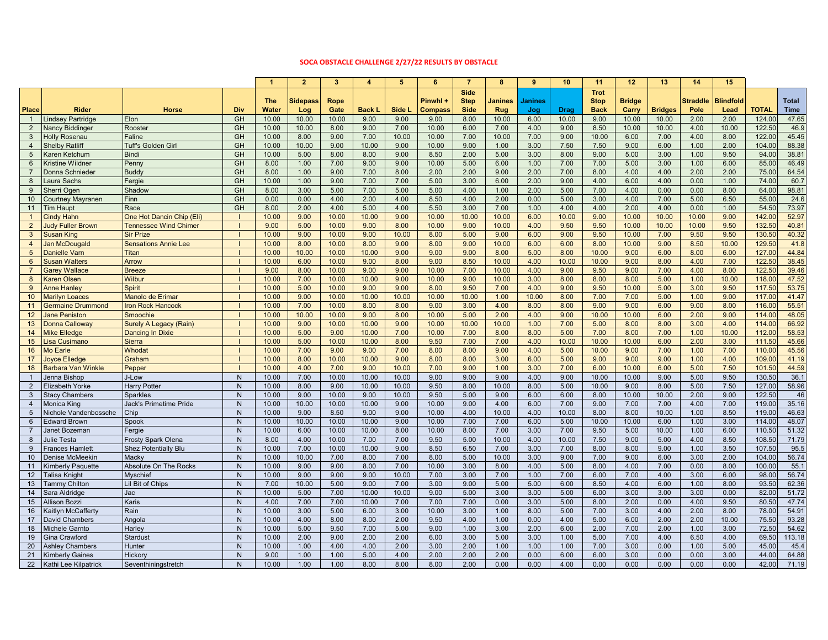## **SOCA OBSTACLE CHALLENGE 2/27/22 RESULTS BY OBSTACLE**

|                 |                           |                               |              | $\overline{1}$ | $\mathbf{2}$    | $\overline{\mathbf{3}}$ | $\overline{\mathbf{4}}$ | 5      | 6              | $\overline{7}$ | 8       | 9       | 10    | 11          | 12            | 13             | 14              | 15               |              |              |
|-----------------|---------------------------|-------------------------------|--------------|----------------|-----------------|-------------------------|-------------------------|--------|----------------|----------------|---------|---------|-------|-------------|---------------|----------------|-----------------|------------------|--------------|--------------|
|                 |                           |                               |              |                |                 |                         |                         |        |                |                |         |         |       |             |               |                |                 |                  |              |              |
|                 |                           |                               |              |                |                 |                         |                         |        |                | <b>Side</b>    |         |         |       | <b>Trot</b> |               |                |                 |                  |              |              |
|                 |                           |                               |              | <b>The</b>     | <b>Sidepass</b> | Rope                    |                         |        | Pinwhl +       | <b>Step</b>    | Janines | Janines |       | <b>Stop</b> | <b>Bridge</b> |                | <b>Straddle</b> | <b>Blindfold</b> |              | <b>Total</b> |
| Place           | <b>Rider</b>              | <b>Horse</b>                  | Div          | Water          | Log             | Gate                    | Back L                  | Side L | <b>Compass</b> | <b>Side</b>    | Rug     | Jog     | Drag  | <b>Back</b> | Carry         | <b>Bridges</b> | Pole            | Lead             | <b>TOTAL</b> | <b>Time</b>  |
| $\mathbf{1}$    | indsey Partridge          | <b>Elon</b>                   | GH           | 10.00          | 10.00           | 10.00                   | 9.00                    | 9.00   | 9.00           | 8.00           | 10.00   | 6.00    | 10.00 | 9.00        | 10.00         | 10.00          | 2.00            | 2.00             | 124.00       | 47.65        |
| $\overline{2}$  | <b>Vancy Biddinger</b>    | Rooster                       | GH           | 10.00          | 10.00           | 8.00                    | 9.00                    | 7.00   | 10.00          | 6.00           | 7.00    | 4.00    | 9.00  | 8.50        | 10.00         | 10.00          | 4.00            | 10.00            | 122.50       | 46.9         |
| $\mathbf{3}$    | <b>Holly Rosenau</b>      | Faline                        | GH           | 10.00          | 8.00            | 9.00                    | 7.00                    | 10.00  | 10.00          | 7.00           | 10.00   | 7.00    | 9.00  | 10.00       | 6.00          | 7.00           | 4.00            | 8.00             | 122.00       | 45.45        |
| $\overline{4}$  | <b>Shelby Ratliff</b>     | Tuff's Golden Girl            | GH           | 10.00          | 10.00           | 9.00                    | 10.00                   | 9.00   | 10.00          | 9.00           | 1.00    | 3.00    | 7.50  | 7.50        | 9.00          | 6.00           | 1.00            | 2.00             | 104.00       | 88.38        |
| $5\overline{)}$ | Karen Ketchum             | <b>Bindi</b>                  | GH           | 10.00          | 5.00            | 8.00                    | 8.00                    | 9.00   | 8.50           | 2.00           | 5.00    | 3.00    | 8.00  | 9.00        | 5.00          | 3.00           | 1.00            | 9.50             | 94.00        | 38.81        |
| $6\overline{6}$ | Kristine Wildner          | Penny                         | GH           | 8.00           | 1.00            | 7.00                    | 9.00                    | 9.00   | 10.00          | 5.00           | 6.00    | 1.00    | 7.00  | 7.00        | 5.00          | 3.00           | 1.00            | 6.00             | 85.00        | 46.49        |
| $\overline{7}$  | Donna Schnieder           | <b>Buddy</b>                  | GH           | 8.00           | 1.00            | 9.00                    | 7.00                    | 8.00   | 2.00           | 2.00           | 9.00    | 2.00    | 7.00  | 8.00        | 4.00          | 4.00           | 2.00            | 2.00             | 75.00        | 64.54        |
| 8               | Laura Sachs               | Fergie                        | GH           | 10.00          | 1.00            | 9.00                    | 7.00                    | 7.00   | 5.00           | 3.00           | 6.00    | 2.00    | 9.00  | 4.00        | 6.00          | 4.00           | 0.00            | 1.00             | 74.00        | 60.7         |
| 9               | Sherri Ogen               | Shadow                        | GH           | 8.00           | 3.00            | 5.00                    | 7.00                    | 5.00   | 5.00           | 4.00           | 1.00    | 2.00    | 5.00  | 7.00        | 4.00          | 0.00           | 0.00            | 8.00             | 64.00        | 98.81        |
| 10              | Courtney Mayranen         | Finn                          | GH           | 0.00           | 0.00            | 4.00                    | 2.00                    | 4.00   | 8.50           | 4.00           | 2.00    | 0.00    | 5.00  | 3.00        | 4.00          | 7.00           | 5.00            | 6.50             | 55.00        | 24.6         |
| 11              | <b>Tim Haupt</b>          | Race                          | GH           | 8.00           | 2.00            | 4.00                    | 5.00                    | 4.00   | 5.50           | 3.00           | 7.00    | 1.00    | 4.00  | 4.00        | 2.00          | 4.00           | 0.00            | 1.00             | 54.50        | 73.97        |
| $\mathbf{1}$    | Cindy Hahn                | One Hot Dancin Chip (Eli)     |              | 10.00          | 9.00            | 10.00                   | 10.00                   | 9.00   | 10.00          | 10.00          | 10.00   | 6.00    | 10.00 | 9.00        | 10.00         | 10.00          | 10.00           | 9.00             | 142.00       | 52.97        |
| 2               | ludy Fuller Brown         | <b>Tennessee Wind Chimer</b>  |              | 9.00           | 5.00            | 10.00                   | 9.00                    | 8.00   | 10.00          | 9.00           | 10.00   | 4.00    | 9.50  | 9.50        | 10.00         | 10.00          | 10.00           | 9.50             | 132.50       | 40.81        |
| $\mathbf{3}$    | <b>Susan King</b>         | <b>Sir Prize</b>              |              | 10.00          | 9.00            | 10.00                   | 9.00                    | 10.00  | 8.00           | 5.00           | 9.00    | 6.00    | 9.00  | 9.50        | 10.00         | 7.00           | 9.50            | 9.50             | 130.50       | 40.32        |
| $\overline{4}$  | Jan McDougald             | <b>Sensations Annie Lee</b>   |              | 10.00          | 8.00            | 10.00                   | 8.00                    | 9.00   | 8.00           | 9.00           | 10.00   | 6.00    | 6.00  | 8.00        | 10.00         | 9.00           | 8.50            | 10.00            | 129.50       | 41.8         |
| $5\phantom{.0}$ | Danielle Varn             | Titan                         |              | 10.00          | 10.00           | 10.00                   | 10.00                   | 9.00   | 9.00           | 9.00           | 8.00    | 5.00    | 8.00  | 10.00       | 9.00          | 6.00           | 8.00            | 6.00             | 127.00       | 44.84        |
| $6\phantom{1}$  | <b>Susan Walters</b>      | Arrow                         |              | 10.00          | 6.00            | 10.00                   | 9.00                    | 8.00   | 9.00           | 8.50           | 10.00   | 4.00    | 10.00 | 10.00       | 9.00          | 8.00           | 4.00            | 7.00             | 122.50       | 38.45        |
| $\overline{7}$  | <b>Garev Wallace</b>      | <b>Breeze</b>                 |              | 9.00           | 8.00            | 10.00                   | 9.00                    | 9.00   | 10.00          | 7.00           | 10.00   | 4.00    | 9.00  | 9.50        | 9.00          | 7.00           | 4.00            | 8.00             | 122.50       | 39.46        |
| 8               | <b>Karen Olsen</b>        | Wilbur                        |              | 10.00          | 7.00            | 10.00                   | 10.00                   | 9.00   | 10.00          | 9.00           | 10.00   | 3.00    | 8.00  | 8.00        | 8.00          | 5.00           | 1.00            | 10.00            | 118.00       | 47.52        |
| 9               | Anne Hanlev               | <b>Spirit</b>                 |              | 10.00          | 5.00            | 10.00                   | 9.00                    | 9.00   | 8.00           | 9.50           | 7.00    | 4.00    | 9.00  | 9.50        | 10.00         | 5.00           | 3.00            | 9.50             | 117.50       | 53.75        |
| 10              | <b>Marilyn Loaces</b>     | <b>Manolo de Erimar</b>       |              | 10.00          | 9.00            | 10.00                   | 10.00                   | 10.00  | 10.00          | 10.00          | 1.00    | 10.00   | 8.00  | 7.00        | 7.00          | 5.00           | 1.00            | 9.00             | 117.00       | 41.47        |
| 11              | Germaine Drummond         | <b>Iron Rock Hancock</b>      |              | 10.00          | 7.00            | 10.00                   | 8.00                    | 8.00   | 9.00           | 3.00           | 4.00    | 8.00    | 8.00  | 9.00        | 9.00          | 6.00           | 9.00            | 8.00             | 116.00       | 55.51        |
| 12 <sup>2</sup> | lane Peniston             | Smoochie                      |              | 10.00          | 10.00           | 10.00                   | 9.00                    | 8.00   | 10.00          | 5.00           | 2.00    | 4.00    | 9.00  | 10.00       | 10.00         | 6.00           | 2.00            | 9.00             | 114.00       | 48.05        |
| 13              | Donna Calloway            | Surely A Legacy (Rain)        |              | 10.00          | 9.00            | 10.00                   | 10.00                   | 9.00   | 10.00          | 10.00          | 10.00   | 1.00    | 7.00  | 5.00        | 8.00          | 8.00           | 3.00            | 4.00             | 114.00       | 66.92        |
| 14              | Mike Elledge              | Dancing In Dixie              |              | 10.00          | 5.00            | 9.00                    | 10.00                   | 7.00   | 10.00          | 7.00           | 8.00    | 8.00    | 5.00  | 7.00        | 8.00          | 7.00           | 1.00            | 10.00            | 112.00       | 58.53        |
| 15              | isa Cusimano              | <b>Sierra</b>                 |              | 10.00          | 5.00            | 10.00                   | 10.00                   | 8.00   | 9.50           | 7.00           | 7.00    | 4.00    | 10.00 | 10.00       | 10.00         | 6.00           | 2.00            | 3.00             | 111.50       | 45.66        |
| 16              | Mo Earle                  | Whodat                        |              | 10.00          | 7.00            | 9.00                    | 9.00                    | 7.00   | 8.00           | 8.00           | 9.00    | 4.00    | 5.00  | 10.00       | 9.00          | 7.00           | 1.00            | 7.00             | 110.00       | 45.56        |
| 17              | loyce Elledge             | Graham                        |              | 10.00          | 8.00            | 10.00                   | 10.00                   | 9.00   | 8.00           | 8.00           | 3.00    | 6.00    | 5.00  | 9.00        | 9.00          | 9.00           | 1.00            | 4.00             | 109.00       | 41.19        |
| 18              | <b>Barbara Van Winkle</b> | Pepper                        |              | 10.00          | 4.00            | 7.00                    | 9.00                    | 10.00  | 7.00           | 9.00           | 1.00    | 3.00    | 7.00  | 6.00        | 10.00         | 6.00           | 5.00            | 7.50             | 101.50       | 44.59        |
| $\mathbf{1}$    | lenna Bishop              | J-Low                         | N            | 10.00          | 7.00            | 10.00                   | 10.00                   | 10.00  | 9.00           | 9.00           | 9.00    | 4.00    | 9.00  | 10.00       | 10.00         | 9.00           | 5.00            | 9.50             | 130.50       | 36.1         |
| 2               | Elizabeth Yorke           | <b>Harry Potter</b>           | N.           | 10.00          | 8.00            | 9.00                    | 10.00                   | 10.00  | 9.50           | 8.00           | 10.00   | 8.00    | 5.00  | 10.00       | 9.00          | 8.00           | 5.00            | 7.50             | 127.00       | 58.96        |
| $\mathbf{3}$    | <b>Stacy Chambers</b>     | <b>Sparkles</b>               | N.           | 10.00          | 9.00            | 10.00                   | 9.00                    | 10.00  | 9.50           | 5.00           | 9.00    | 6.00    | 6.00  | 8.00        | 10.00         | 10.00          | 2.00            | 9.00             | 122.50       | 46           |
| $\overline{4}$  | Monica King               | <b>Jack's Primetime Pride</b> | N.           | 10.00          | 10.00           | 10.00                   | 10.00                   | 9.00   | 10.00          | 9.00           | 4.00    | 6.00    | 7.00  | 9.00        | 7.00          | 7.00           | 4.00            | 7.00             | 119.00       | 35.16        |
| $5\overline{5}$ | Nichole Vandenbossche     | Chip                          | N.           | 10.00          | 9.00            | 8.50                    | 9.00                    | 9.00   | 10.00          | 4.00           | 10.00   | 4.00    | 10.00 | 8.00        | 8.00          | 10.00          | 1.00            | 8.50             | 119.00       | 46.63        |
| 6               | Edward Brown              | Spook                         | N            | 10.00          | 10.00           | 10.00                   | 10.00                   | 9.00   | 10.00          | 7.00           | 7.00    | 6.00    | 5.00  | 10.00       | 10.00         | 6.00           | 1.00            | 3.00             | 114.00       | 48.07        |
| $\overline{7}$  | lanet Bozeman             | Fergie                        | N.           | 10.00          | 6.00            | 10.00                   | 10.00                   | 8.00   | 10.00          | 8.00           | 7.00    | 3.00    | 7.00  | 9.50        | 5.00          | 10.00          | 1.00            | 6.00             | 110.50       | 51.32        |
| 8               | Julie Testa               | <b>Frosty Spark Olena</b>     | N.           | 8.00           | 4.00            | 10.00                   | 7.00                    | 7.00   | 9.50           | 5.00           | 10.00   | 4.00    | 10.00 | 7.50        | 9.00          | 5.00           | 4.00            | 8.50             | 108.50       | 71.79        |
| 9               | Frances Hamlett           | <b>Shez Potentially Blu</b>   | N            | 10.00          | 7.00            | 10.00                   | 10.00                   | 9.00   | 8.50           | 6.50           | 7.00    | 3.00    | 7.00  | 8.00        | 8.00          | 9.00           | 1.00            | 3.50             | 107.50       | 95.5         |
| 10              | Denise McMeekin           | Macky                         | $\mathsf{N}$ | 10.00          | 10.00           | 7.00                    | 8.00                    | 7.00   | 8.00           | 5.00           | 10.00   | 3.00    | 9.00  | 7.00        | 9.00          | 6.00           | 3.00            | 2.00             | 104.00       | 56.74        |
| 11              | <b>Kimberly Paquette</b>  | <b>Absolute On The Rocks</b>  | N.           | 10.00          | 9.00            | 9.00                    | 8.00                    | 7.00   | 10.00          | 3.00           | 8.00    | 4.00    | 5.00  | 8.00        | 4.00          | 7.00           | 0.00            | 8.00             | 100.00       | 55.1         |
| 12              | <b>Talisa Knight</b>      | Myschief                      | $\mathsf{N}$ | 10.00          | 9.00            | 9.00                    | 9.00                    | 10.00  | 7.00           | 3.00           | 7.00    | 1.00    | 7.00  | 6.00        | 7.00          | 4.00           | 3.00            | 6.00             | 98.00        | 56.74        |
| 13              | <b>Fammy Chilton</b>      | il Bit of Chips               | N            | 7.00           | 10.00           | 5.00                    | 9.00                    | 7.00   | 3.00           | 9.00           | 5.00    | 5.00    | 6.00  | 8.50        | 4.00          | 6.00           | 1.00            | 8.00             | 93.50        | 62.36        |
| 14              | Sara Aldridge             | Jac                           | N.           | 10.00          | 5.00            | 7.00                    | 10.00                   | 10.00  | 9.00           | 5.00           | 3.00    | 3.00    | 5.00  | 6.00        | 3.00          | 3.00           | 3.00            | 0.00             | 82.00        | 51.72        |
| 15              | Allison Bozzi             | Karis                         | N.           | 4.00           | 7.00            | 7.00                    | 10.00                   | 7.00   | 7.00           | 7.00           | 0.00    | 3.00    | 5.00  | 8.00        | 2.00          | 0.00           | 4.00            | 9.50             | 80.50        | 47.74        |
|                 |                           |                               |              |                |                 |                         |                         |        |                |                |         |         |       |             |               |                |                 |                  |              |              |
| 16              | <b>Kaitlyn McCafferty</b> | Rain                          | $\sf N$      | 10.00          | 3.00            | 5.00                    | 6.00                    | 3.00   | 10.00          | 3.00           | 1.00    | 8.00    | 5.00  | 7.00        | 3.00          | 4.00           | 2.00            | 8.00             | 78.00        | 54.91        |
| 17              | David Chambers            | Angola                        | N.           | 10.00          | 4.00            | 8.00                    | 8.00                    | 2.00   | 9.50           | 4.00           | 1.00    | 0.00    | 4.00  | 5.00        | 6.00          | 2.00           | 2.00            | 10.00            | 75.50        | 93.28        |
| 18              | Michele Garnto            | Harley                        | N.           | 10.00          | 5.00            | 9.50                    | 7.00                    | 5.00   | 9.00           | 1.00           | 3.00    | 2.00    | 6.00  | 2.00        | 7.00          | 2.00           | 1.00            | 3.00             | 72.50        | 54.62        |
| 19              | Gina Crawford             | <b>Stardust</b>               | N.           | 10.00          | 2.00            | 9.00                    | 2.00                    | 2.00   | 6.00           | 3.00           | 5.00    | 3.00    | 1.00  | 5.00        | 7.00          | 4.00           | 6.50            | 4.00             | 69.50        | 113.18       |
| 20              | <b>Ashlev Chambers</b>    | Hunter                        | N.           | 10.00          | 1.00            | 4.00                    | 4.00                    | 2.00   | 3.00           | 2.00           | 1.00    | 1.00    | 1.00  | 7.00        | 3.00          | 0.00           | 1.00            | 5.00             | 45.00        | 45.4         |
| 21              | <b>Kimberly Gaines</b>    | Hickory                       | N            | 9.00           | 1.00            | 1.00                    | 5.00                    | 4.00   | 2.00           | 2.00           | 2.00    | 0.00    | 6.00  | 6.00        | 3.00          | 0.00           | 0.00            | 3.00             | 44.00        | 64.88        |
| 22              | Kathi Lee Kilpatrick      | Seventhiningstretch           | N.           | 10.00          | 1.00            | 1.00                    | 8.00                    | 8.00   | 8.00           | 2.00           | 0.00    | 0.00    | 4.00  | 0.00        | 0.00          | 0.00           | 0.00            | 0.00             | 42.00        | 71.19        |